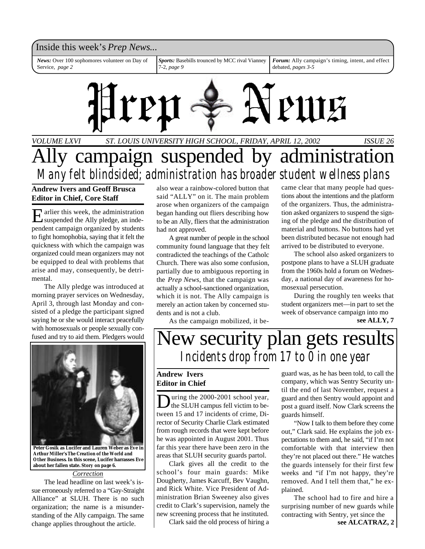### Inside this week's *Prep News*...

*News:* Over 100 sophomores volunteer on Day of Service, *page 2*

*Sports:* Basebills trounced by MCC rival Vianney 7-2, *page 9*

*Forum:* Ally campaign's timing, intent, and effect debated, *pages 3-5*



*VOLUME LXVI ISSUE 26 ST. LOUIS UNIVERSITY HIGH SCHOOL, FRIDAY, APRIL 12, 2002*

# Ally campaign suspended by administration *Many felt blindsided; administration has broader student wellness plans*

**Andrew Ivers and Geoff Brusca Editor in Chief, Core Staff**

E arlier this week, the administration<br>suspended the Ally pledge, an indearlier this week, the administration pendent campaign organized by students to fight homophobia, saying that it felt the quickness with which the campaign was organized could mean organizers may not be equipped to deal with problems that arise and may, consequently, be detrimental.

The Ally pledge was introduced at morning prayer services on Wednesday, April 3, through last Monday and consisted of a pledge the participant signed saying he or she would interact peacefully with homosexuals or people sexually confused and try to aid them. Pledgers would



**Peter Gosik as Lucifer and Lauren Weber as Eve in Arthur Miller's** *The Creation of the World and Other Business***. In this scene, Lucifer harrasses Eve about her fallen state.** *Story on page 6.*

#### *Correction*

The lead headline on last week's issue erroneously referred to a "Gay-Straight Alliance" at SLUH. There is no such organization; the name is a misunderstanding of the Ally campaign. The same change applies throughout the article.

also wear a rainbow-colored button that said "ALLY" on it. The main problem arose when organizers of the campaign began handing out fliers describing how to be an Ally, fliers that the administration had not approved.

A great number of people in the school community found language that they felt contradicted the teachings of the Catholc Church. There was also some confusion, partially due to ambiguous reporting in the *Prep News*, that the campaign was actually a school-sanctioned organization, which it is not. The Ally campaign is merely an action taken by concerned students and is not a club.

As the campaign mobilized, it be-

came clear that many people had questions about the intentions and the platform of the organizers. Thus, the administration asked organizers to suspend the signing of the pledge and the distribution of material and buttons. No buttons had yet been distributed becasue not enough had arrived to be distributed to everyone.

The school also asked organizers to postpone plans to have a SLUH graduate from the 1960s hold a forum on Wednesday, a national day of awareness for homosexual persecution.

During the roughly ten weeks that student organizers met—in part to set the week of observance campaign into mo

**see ALLY, 7**

# New security plan gets results *Incidents drop from 17 to 0 in one year*

#### **Andrew Ivers Editor in Chief**

During the 2000-2001 school year,<br>the SLUH campus fell victim to beuring the 2000-2001 school year, tween 15 and 17 incidents of crime, Director of Security Charlie Clark estimated from rough records that were kept before he was appointed in August 2001. Thus far this year there have been zero in the areas that SLUH security guards partol.

Clark gives all the credit to the school's four main guards: Mike Dougherty, James Karcuff, Bev Vaughn, and Rick White. Vice President of Administration Brian Sweeney also gives credit to Clark's supervision, namely the new screening process that he instituted.

Clark said the old process of hiring a

guard was, as he has been told, to call the company, which was Sentry Security until the end of last November, request a guard and then Sentry would appoint and post a guard itself. Now Clark screens the guards himself.

"Now I talk to them before they come out," Clark said. He explains the job expectations to them and, he said, "if I'm not comfortable with that interview then they're not placed out there." He watches the guards intensely for their first few weeks and "if I'm not happy, they're removed. And I tell them that," he explained.

The school had to fire and hire a surprising number of new guards while contracting with Sentry, yet since the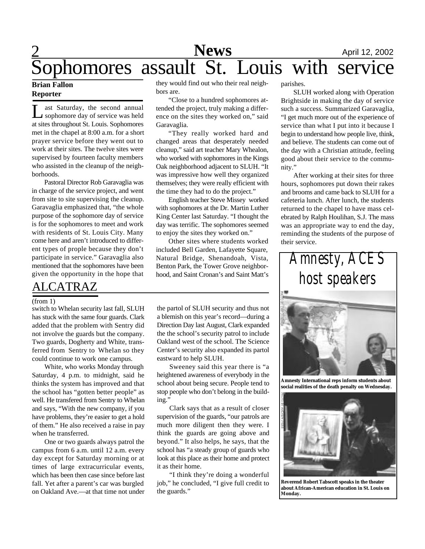### **News** April 12, 2002 Sophomores assault St. Louis with service **News**

#### **Brian Fallon Reporter**

L ast Saturday, the second annual sophomore day of service was held at sites throughout St. Louis. Sophomores met in the chapel at 8:00 a.m. for a short prayer service before they went out to work at their sites. The twelve sites were supervised by fourteen faculty members who assisted in the cleanup of the neighborhoods.

Pastoral Director Rob Garavaglia was in charge of the service project, and went from site to site supervising the cleanup. Garavaglia emphasized that, "the whole purpose of the sophomore day of service is for the sophomores to meet and work with residents of St. Louis City. Many come here and aren't introduced to different types of prople because they don't participate in service." Garavaglia also mentioned that the sophomores have been given the opportunity in the hope that

### ALCATRAZ

#### (from 1)

switch to Whelan security last fall, SLUH has stuck with the same four guards. Clark added that the problem with Sentry did not involve the guards but the company. Two guards, Dogherty and White, transferred from Sentry to Whelan so they could continue to work one campus.

White, who works Monday through Saturday, 4 p.m. to midnight, said he thinks the system has improved and that the school has "gotten better people" as well. He transfered from Sentry to Whelan and says, "With the new company, if you have problems, they're easier to get a hold of them." He also received a raise in pay when he transferred.

One or two guards always patrol the campus from 6 a.m. until 12 a.m. every day except for Saturday morning or at times of large extracurricular events, which has been then case since before last fall. Yet after a parent's car was burgled on Oakland Ave.—at that time not under

they would find out who their real neighbors are.

"Close to a hundred sophomores attended the project, truly making a difference on the sites they worked on," said Garavaglia.

"They really worked hard and changed areas that desperately needed cleanup," said art teacher Mary Whealon, who worked with sophomores in the Kings Oak neighborhood adjacent to SLUH. "It was impressive how well they organized themselves; they were really efficient with the time they had to do the project."

English teacher Steve Missey worked with sophomores at the Dr. Martin Luther King Center last Saturday. "I thought the day was terrific. The sophomores seemed to enjoy the sites they worked on."

Other sites where students worked included Bell Garden, Lafayette Square, Natural Bridge, Shenandoah, Vista, Benton Park, the Tower Grove neighborhood, and Saint Cronan's and Saint Matt's

the partol of SLUH security and thus not a blemish on this year's record—during a Direction Day last August, Clark expanded the the school's security patrol to include Oakland west of the school. The Science Center's security also expanded its partol eastward to help SLUH.

Sweeney said this year there is "a heightened awareness of everybody in the school about being secure. People tend to stop people who don't belong in the building.'

Clark says that as a result of closer supervision of the guards, "our patrols are much more diligent then they were. I think the guards are going above and beyond." It also helps, he says, that the school has "a steady group of guards who look at this place as their home and protect it as their home.

"I think they're doing a wonderful job," he concluded, "I give full credit to the guards."

parishes.

SLUH worked along with Operation Brightside in making the day of service such a success. Summarized Garavaglia, "I get much more out of the experience of service than what I put into it because I begin to understand how people live, think, and believe. The students can come out of the day with a Christian attitude, feeling good about their service to the community."

After working at their sites for three hours, sophomores put down their rakes and brooms and came back to SLUH for a cafeteria lunch. After lunch, the students returned to the chapel to have mass celebrated by Ralph Houlihan, S.J. The mass was an appropriate way to end the day, reminding the students of the purpose of their service.



**Amnesty International reps inform students about social realities of the death penalty on Wednesday.**



**Reverend Robert Tabscott speaks in the theater about African-American education in St. Louis on Monday.**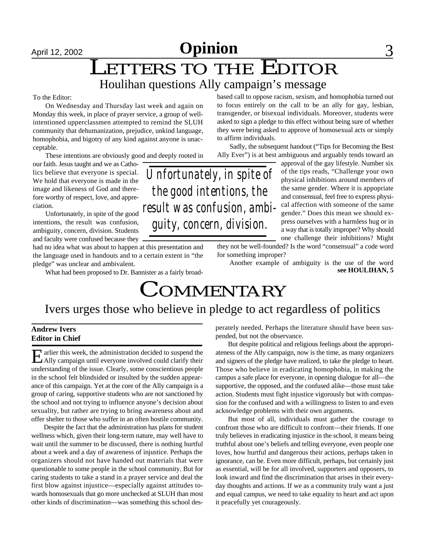# April 12, 2002 **Opinion** 3

## LETTERS TO THE EDITOR Houlihan questions Ally campaign's message

#### To the Editor:

On Wednesday and Thursday last week and again on Monday this week, in place of prayer service, a group of wellintentioned upperclassmen attempted to remind the SLUH community that dehumanization, prejudice, unkind language, homophobia, and bigotry of any kind against anyone is unacceptable.

These intentions are obviously good and deeply rooted in

our faith. Jesus taught and we as Catholics believe that everyone is special. We hold that everyone is made in the image and likeness of God and therefore worthy of respect, love, and appreciation.

Unfortunately, in spite of the good intentions, the result was confusion, ambiguity, concern, division. Students and faculty were confused because they

had no idea what was about to happen at this presentation and the language used in handouts and to a certain extent in "the pledge" was unclear and ambivalent.

What had been proposed to Dr. Bannister as a fairly broad-

based call to oppose racism, sexism, and homophobia turned out to focus entirely on the call to be an ally for gay, lesbian, transgender, or bisexual individuals. Moreover, students were asked to sign a pledge to this effect without being sure of whether they were being asked to approve of homosexual acts or simply to affirm individuals.

Sadly, the subsequent handout ("Tips for Becoming the Best Ally Ever") is at best ambiguous and arguably tends toward an

approval of the gay lifestyle. Number six of the tips reads, "Challenge your own physical inhibitions around members of the same gender. Where it is appopriate and consensual, feel free to express physical affection with someone of the same gender." Does this mean we should express ourselves with a harmless hug or in a way that is totally improper? Why should one challenge their inhibitions? Might

they not be well-founded? Is the word "consensual" a code word for something improper?

Another example of ambiguity is the use of the word **see HOULIHAN, 5**

# **COMMENTARY**

### Ivers urges those who believe in pledge to act regardless of politics

#### **Andrew Ivers Editor in Chief**

E arlier this week, the administration decided to suspend the Ally campaign until everyone involved could clarify their arlier this week, the administration decided to suspend the understanding of the issue. Clearly, some conscientious people in the school felt blindsided or insulted by the sudden appearance of this campaign. Yet at the core of the Ally campaign is a group of caring, supportive students who are not sanctioned by the school and not trying to influence anyone's decision about sexuality, but rather are trying to bring awareness about and offer shelter to those who suffer in an often hostile community.

Despite the fact that the administration has plans for student wellness which, given their long-term nature, may well have to wait until the summer to be discussed, there is nothing hurtful about a week and a day of awareness of injustice. Perhaps the organizers should not have handed out materials that were questionable to some people in the school community. But for caring students to take a stand in a prayer service and deal the first blow against injustice—especially against attitudes towards homosexuals that go more unchecked at SLUH than most other kinds of discrimination—was something this school desperately needed. Perhaps the literature should have been suspended, but not the observance.

But despite political and religious feelings about the appropriateness of the Ally campaign, now is the time, as many organizers and signers of the pledge have realized, to take the pledge to heart. Those who believe in eradicating homophobia, in making the campus a safe place for everyone, in opening dialogue for all—the supportive, the opposed, and the confused alike—those must take action. Students must fight injustice vigorously but with compassion for the confused and with a willingness to listen to and even acknowledge problems with their own arguments.

But most of all, individuals must gather the courage to confront those who are difficult to confront—their friends. If one truly believes in eradicating injustice in the school, it means being truthful about one's beliefs and telling everyone, even people one loves, how hurtful and dangerous their actions, perhaps taken in ignorance, can be. Even more difficult, perhaps, but certainly just as essential, will be for all involved, supporters and opposers, to look inward and find the discrimination that arises in their everyday thoughts and actions. If we as a community truly want a just and equal campus, we need to take equality to heart and act upon it peacefully yet courageously.

*Unfortunately, in spite of the good intentions, the result was confusion, ambiguity, concern, division.*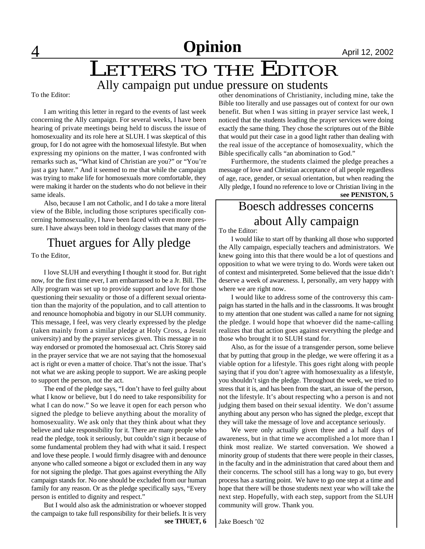## LETTERS TO THE EDITOR Ally campaign put undue pressure on students

To the Editor:

I am writing this letter in regard to the events of last week concerning the Ally campaign. For several weeks, I have been hearing of private meetings being held to discuss the issue of homosexuality and its role here at SLUH. I was skeptical of this group, for I do not agree with the homosexual lifestyle. But when expressing my opinions on the matter, I was confronted with remarks such as, "What kind of Christian are you?" or "You're just a gay hater." And it seemed to me that while the campaign was trying to make life for homosexuals more comfortable, they were making it harder on the students who do not believe in their same ideals.

Also, because I am not Catholic, and I do take a more literal view of the Bible, including those scriptures specifically concerning homosexuality, I have been faced with even more pressure. I have always been told in theology classes that many of the

### Thuet argues for Ally pledge

To the Editor,

I love SLUH and everything I thought it stood for. But right now, for the first time ever, I am embarrassed to be a Jr. Bill. The Ally program was set up to provide support and love for those questioning their sexuality or those of a different sexual orientation than the majority of the population, and to call attention to and renounce homophobia and bigotry in our SLUH community. This message, I feel, was very clearly expressed by the pledge (taken mainly from a similar pledge at Holy Cross, a Jesuit university) and by the prayer services given. This message in no way endorsed or promoted the homosexual act. Chris Storey said in the prayer service that we are not saying that the homosexual act is right or even a matter of choice. That's not the issue. That's not what we are asking people to support. We are asking people to support the person, not the act.

The end of the pledge says, "I don't have to feel guilty about what I know or believe, but I do need to take responsibility for what I can do now." So we leave it open for each person who signed the pledge to believe anything about the morality of homosexuality. We ask only that they think about what they believe and take responsibility for it. There are many people who read the pledge, took it seriously, but couldn't sign it because of some fundamental problem they had with what it said. I respect and love these people. I would firmly disagree with and denounce anyone who called someone a bigot or excluded them in any way for not signing the pledge. That goes against everything the Ally campaign stands for. No one should be excluded from our human family for any reason. Or as the pledge specifically says, "Every person is entitled to dignity and respect."

But I would also ask the administration or whoever stopped the campaign to take full responsibility for their beliefs. It is very **see THUET, 6** other denominations of Christianity, including mine, take the Bible too literally and use passages out of context for our own benefit. But when I was sitting in prayer service last week, I noticed that the students leading the prayer services were doing exactly the same thing. They chose the scriptures out of the Bible that would put their case in a good light rather than dealing with the real issue of the acceptance of homosexuality, which the Bible specifically calls "an abomination to God."

Furthermore, the students claimed the pledge preaches a message of love and Christian acceptance of all people regardless of age, race, gender, or sexual orientation, but when reading the Ally pledge, I found no reference to love or Christian living in the

**see PENISTON, 5**

## Boesch addresses concerns about Ally campaign

To the Editor:

I would like to start off by thanking all those who supported the Ally campaign, especially teachers and administrators. We knew going into this that there would be a lot of questions and opposition to what we were trying to do. Words were taken out of context and misinterpreted. Some believed that the issue didn't deserve a week of awareness. I, personally, am very happy with where we are right now.

I would like to address some of the controversy this campaign has started in the halls and in the classrooms. It was brought to my attention that one student was called a name for not signing the pledge. I would hope that whoever did the name-calling realizes that that action goes against everything the pledge and those who brought it to SLUH stand for.

Also, as for the issue of a transgender person, some believe that by putting that group in the pledge, we were offering it as a viable option for a lifestyle. This goes right along with people saying that if you don't agree with homosexuality as a lifestyle, you shouldn't sign the pledge. Throughout the week, we tried to stress that it is, and has been from the start, an issue of the person, not the lifestyle. It's about respecting who a person is and not judging them based on their sexual identity. We don't assume anything about any person who has signed the pledge, except that they will take the message of love and acceptance seriously.

We were only actually given three and a half days of awareness, but in that time we accomplished a lot more than I think most realize. We started conversation. We showed a minority group of students that there were people in their classes, in the faculty and in the administration that cared about them and their concerns. The school still has a long way to go, but every process has a starting point. We have to go one step at a time and hope that there will be those students next year who will take the next step. Hopefully, with each step, support from the SLUH community will grow. Thank you.

Jake Boesch '02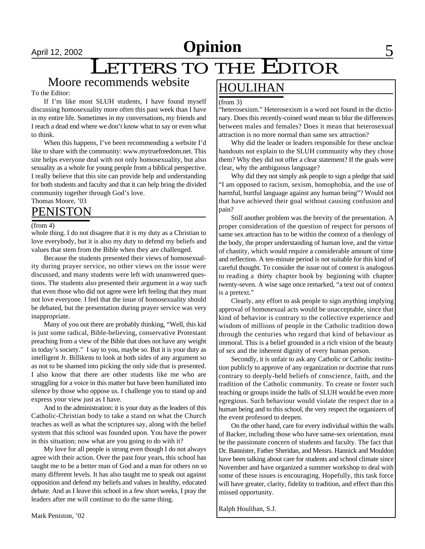# April 12, 2002 **Opinion** 5

# LETTERS TO THE EDITOR

### Moore recommends website

#### To the Editor:

If I'm like most SLUH students, I have found myself discussing homosexuality more often this past week than I have in my entire life. Sometimes in my conversations, my friends and I reach a dead end where we don't know what to say or even what to think.

When this happens, I've been recommending a website I'd like to share with the community: www.mytruefreedom.net. This site helps everyone deal with not only homosexuality, but also sexuality as a whole for young people from a biblical perspective. I really believe that this site can provide help and understanding for both students and faculty and that it can help bring the divided community together through God's love.

Thomas Moore, '03

### PENISTON

#### (from 4)

whole thing. I do not disagree that it is my duty as a Christian to love everybody, but it is also my duty to defend my beliefs and values that stem from the Bible when they are challenged.

Because the students presented their views of homosexuality during prayer service, no other views on the issue were discussed, and many students were left with unanswered questions. The students also presented their argument in a way such that even those who did not agree were left feeling that they must not love everyone. I feel that the issue of homosexuality should be debated, but the presentation during prayer service was very inappropriate.

Many of you out there are probably thinking, "Well, this kid is just some radical, Bible-believing, conservative Protestant preaching from a view of the Bible that does not have any weight in today's society." I say to you, maybe so. But it is your duty as intelligent Jr. Billikens to look at both sides of any argument so as not to be shamed into picking the only side that is presented. I also know that there are other students like me who are struggling for a voice in this matter but have been humiliated into silence by those who oppose us. I challenge you to stand up and express your view just as I have.

And to the administration: it is your duty as the leaders of this Catholic-Christian body to take a stand on what the Church teaches as well as what the scriptures say, along with the belief system that this school was founded upon. You have the power in this situation; now what are you going to do with it?

My love for all people is strong even though I do not always agree with their action. Over the past four years, this school has taught me to be a better man of God and a man for others on so many different levels. It has also taught me to speak out against opposition and defend my beliefs and values in healthy, educated debate. And as I leave this school in a few short weeks, I pray the leaders after me will continue to do the same thing.

Mark Peniston, '02

### HOULIHAN

#### (from 3)

"heterosexism." Heterosexism is a word not found in the dictionary. Does this recently-coined word mean to blur the differences between males and females? Does it mean that heterosexual attraction is no more normal than same sex attraction?

Why did the leader or leaders responsible for these unclear handouts not explain to the SLUH community why they chose them? Why they did not offer a clear statement? If the goals were clear, why the ambiguous language?

Why did they not simply ask people to sign a pledge that said "I am opposed to racism, sexism, homophobia, and the use of harmful, hurtful language against any human being"? Would not that have achieved their goal without causing confusion and pain?

Still another problem was the brevity of the presentation. A proper consideration of the question of respect for persons of same sex attraction has to be within the context of a theology of the body, the proper understanding of human love, and the virtue of chastity, which would require a considerable amount of time and reflection. A ten-minute period is not suitable for this kind of careful thought. To consider the issue out of context is analogous to reading a thirty chapter book by beginning with chapter twenty-seven. A wise sage once remarked, "a text out of context is a pretext."

Clearly, any effort to ask people to sign anything implying approval of homosexual acts would be unacceptable, since that kind of behavior is contrary to the collective experience and wisdom of millions of people in the Catholic tradition down through the centuries who regard that kind of behaviour as immoral. This is a belief grounded in a rich vision of the beauty of sex and the inherent dignity of every human person.

Secondly, it is unfair to ask any Catholic or Catholic institution publicly to approve of any organization or doctrine that runs contrary to deeply-held beliefs of conscience, faith, and the tradition of the Catholic community. To create or foster such teaching or groups inside the halls of SLUH would be even more egregious. Such behaviour would violate the respect due to a human being and to this school, the very respect the organizers of the event professed to deepen.

On the other hand, care for every individual within the walls of Backer, including those who have same-sex orientation, must be the passionate concern of students and faculty. The fact that Dr. Bannister, Father Sheridan, and Messrs. Hannick and Mouldon have been talking about care for students and school climate since November and have organized a summer workshop to deal with some of these issues is encouraging. Hopefully, this task force will have greater, clarity, fidelity to tradition, and effect than this missed opportunity.

Ralph Houlihan, S.J.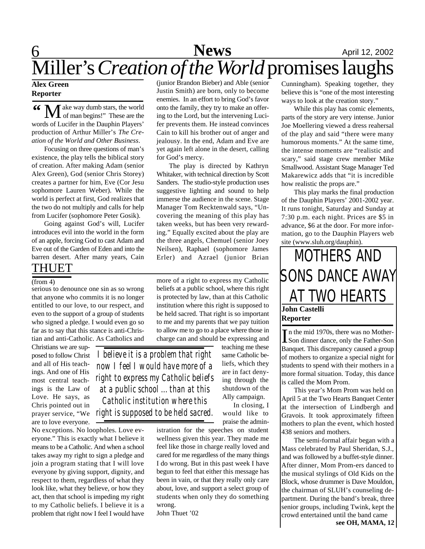### **6** April 12, 2002 Miller's *Creation of the World*promises laughs **News**

#### **Alex Green Reporter**

M ake way dumb stars, the world<br>
of man begins!" These are the words of Lucifer in the Dauphin Players' production of Arthur Miller's *The Creation of the World and Other Business*. **"**

Focusing on three questions of man's existence, the play tells the biblical story of creation. After making Adam (senior Alex Green), God (senior Chris Storey) creates a partner for him, Eve (Cor Jesu sophomore Lauren Weber). While the world is perfect at first, God realizes that the two do not multiply and calls for help from Lucifer (sophomore Peter Gosik).

Going against God's will, Lucifer introduces evil into the world in the form of an apple, forcing God to cast Adam and Eve out of the Garden of Eden and into the barren desert. After many years, Cain

### THUET

#### (from 4)

serious to denounce one sin as so wrong that anyone who commits it is no longer entitled to our love, to our respect, and even to the support of a group of students who signed a pledge. I would even go so far as to say that this stance is anti-Christian and anti-Catholic. As Catholics and

Christians we are supposed to follow Christ and all of His teachings. And one of His most central teachings is the Law of Love. He says, as Chris pointed out in are to love everyone.

No exceptions. No loopholes. Love everyone." This is exactly what I believe it means to be a Catholic. And when a school takes away my right to sign a pledge and join a program stating that I will love everyone by giving support, dignity, and respect to them, regardless of what they look like, what they believe, or how they act, then that school is impeding my right to my Catholic beliefs. I believe it is a problem that right now I feel I would have

(junior Brandon Bieber) and Able (senior Justin Smith) are born, only to become enemies. In an effort to bring God's favor onto the family, they try to make an offering to the Lord, but the intervening Lucifer prevents them. He instead convinces Cain to kill his brother out of anger and jealousy. In the end, Adam and Eve are yet again left alone in the desert, calling for God's mercy.

The play is directed by Kathryn Whitaker, with technical direction by Scott Sanders. The studio-style production uses suggestive lighting and sound to help immerse the audience in the scene. Stage Manager Tom Recktenwald says, "Uncovering the meaning of this play has taken weeks, but has been very rewarding." Equally excited about the play are the three angels, Chemuel (senior Joey Neilsen), Raphael (sophomore James Erler) and Azrael (junior Brian

more of a right to express my Catholic beliefs at a public school, where this right is protected by law, than at this Catholic institution where this right is supposed to be held sacred. That right is so important to me and my parents that we pay tuition to allow me to go to a place where those in charge can and should be expressing and

> teaching me these same Catholic beliefs, which they are in fact denying through the shutdown of the Ally campaign. In closing, I would like to

prayer service, "We *right is supposed to be held sacred.I believe it is a problem that right now I feel I would have more of a right to express my Catholic beliefs at a public school ... than at this Catholic institution where this*

praise the administration for the speeches on student wellness given this year. They made me feel like those in charge really loved and cared for me regardless of the many things I do wrong. But in this past week I have begun to feel that either this message has been in vain, or that they really only care about, love, and support a select group of students when only they do something wrong.

John Thuet '02

Cunningham). Speaking together, they believe this is "one of the most interesting ways to look at the creation story."

While this play has comic elements, parts of the story are very intense. Junior Joe Moellering viewed a dress reahersal of the play and said "there were many humorous moments." At the same time, the intense moments are "realistic and scary," said stage crew member Mike Smallwood. Assistant Stage Manager Ted Makarewicz adds that "it is incredible how realistic the props are."

This play marks the final production of the Dauphin Players' 2001-2002 year. It runs tonight, Saturday and Sunday at 7:30 p.m. each night. Prices are \$5 in advance, \$6 at the door. For more information, go to the Dauphin Players web site (www.sluh.org/dauphin).

# MOTHERS AND SONS DANCE AWAY AT TWO HEARTS

### **John Castelli Reporter**

In the mid 1970s, there was no Mother-<br>Son dinner dance, only the Father-Son In the mid 1970s, there was no Mother-Banquet. This discrepancy caused a group of mothers to organize a special night for students to spend with their mothers in a more formal situation. Today, this dance is called the Mom Prom.

This year's Mom Prom was held on April 5 at the Two Hearts Banquet Center at the intersection of Lindbergh and Gravois. It took approximately fifteen mothers to plan the event, which hosted 438 seniors and mothers.

The semi-formal affair began with a Mass celebrated by Paul Sheridan, S.J., and was followed by a buffet-style dinner. After dinner, Mom Prom-ers danced to the musical stylings of Old Kids on the Block, whose drummer is Dave Mouldon, the chairman of SLUH's counseling department. During the band's break, three senior groups, including Twink, kept the crowd entertained until the band came **see OH, MAMA, 12**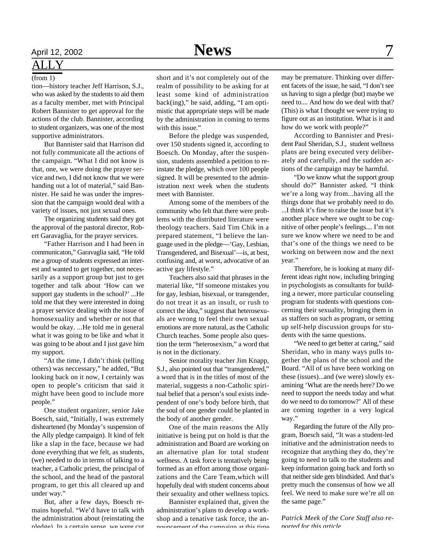### ALLY

#### (from 1)

tion—history teacher Jeff Harrison, S.J., who was asked by the students to aid them as a faculty member, met with Principal Robert Bannister to get approval for the actions of the club. Bannister, according to student organizers, was one of the most supportive administrators.

But Bannister said that Harrison did not fully communicate all the actions of the campaign. "What I did not know is that, one, we were doing the prayer service and two, I did not know that we were handing out a lot of material," said Bannister. He said he was under the impression that the campaign would deal with a variety of issues, not just sexual ones.

The organizing students said they got the approval of the pastoral director, Robert Garavaglia, for the prayer services.

"Father Harrison and I had been in communicaton," Garavaglia said, "He told me a group of students expressed an interest and wanted to get together, not necessarily as a support group but just to get together and talk about 'How can we support gay students in the school?' ...He told me that they were interested in doing a prayer service dealing with the issue of homosexuality and whether or not that would be okay. ...He told me in general what it was going to be like and what it was going to be about and I just gave him my support.

"At the time, I didn't think (telling others) was neccessary," he added, "But looking back on it now, I certainly was open to people's criticism that said it might have been good to include more people."

One student organizer, senior Jake Boesch, said, "Initially, I was extremely disheartened (by Monday's suspension of the Ally pledge campaign). It kind of felt like a slap in the face, because we had done everything that we felt, as students, (we) needed to do in terms of talking to a teacher, a Catholic priest, the principal of the school, and the head of the pastoral program, to get this all cleared up and under way."

But, after a few days, Boesch remains hopeful. "We'd have to talk with the administration about (reinstating the pledge). In a certain sense, we were cut

short and it's not completely out of the realm of possibility to be asking for at least some kind of administration back(ing)," he said, adding, "I am optimistic that appropriate steps will be made by the administration in coming to terms with this issue."

Before the pledge was suspended, over 150 students signed it, according to Boesch. On Monday, after the suspension, students assembled a petition to reinstate the pledge, which over 100 people signed. It will be presented to the administration next week when the students meet with Bannister.

Among some of the members of the community who felt that there were problems with the distributed literature were theology teachers. Said Tim Chik in a prepared statement, "I believe the language used in the pledge—'Gay, Lesbian, Transgendered, and Bisexual'—is, at best, confusing and, at worst, advocative of an active gay lifestyle."

Teachers also said that phrases in the material like, "If someone mistakes you for gay, lesbian, bisexual, or transgender, do not treat it as an insult, or rush to correct the idea," suggest that heterosexuals are wrong to feel their own sexual emotions are more natural, as the Catholic Church teaches. Some people also question the term "heterosexism," a word that is not in the dictionary.

Senior morality teacher Jim Knapp, S.J., also pointed out that "transgendered," a word that is in the titles of most of the material, suggests a non-Catholic spiritual belief that a person's soul exists independent of one's body before birth, that the soul of one gender could be planted in the body of another gender.

One of the main reasons the Ally initiative is being put on hold is that the administration and Board are working on an alternative plan for total student wellness. A task force is tentatively being formed as an effort among those organizations and the Care Team,which will hopefully deal with student concerns about their sexuality and other wellness topics.

Bannister explained that, given the administration's plans to develop a workshop and a tenative task force, the announcement of the campaign at this time

may be premature. Thinking over different facets of the issue, he said, "I don't see us having to sign a pledge (but) maybe we need to.... And how do we deal with that? (This) is what I thought we were trying to figure out as an institution. What is it and how do we work with people?"

According to Bannister and President Paul Sheridan, S.J., student wellness plans are being executed very deliberately and carefully, and the sudden actions of the campaign may be harmful.

"Do we know what the support group should do?" Bannister asked. "I think we're a long way from...having all the things done that we probably need to do. ...I think it's fine to raise the issue but it's another place where we ought to be cognitive of other people's feelings.... I'm not sure we know where we need to be and that's one of the things we need to be working on between now and the next year."

Therefore, he is looking at many different ideas right now, including bringing in psychologists as consultants for building a newer, more particular counseling program for students with questions concerning their sexuality, bringing them in as staffers on such as program, or setting up self-help discussion groups for students with the same questions.

"We need to get better at caring," said Sheridan, who in many ways pulls together the plans of the school and the Board. "All of us have been working on these (issues)...and (we were) slowly examining 'What are the needs here? Do we need to support the needs today and what do we need to do tomorrow?' All of these are coming together in a very logical way."

Regarding the future of the Ally program, Boesch said, "It was a student-led initiative and the administration needs to recognize that anything they do, they're going to need to talk to the students and keep information going back and forth so that neither side gets blindsided. And that's pretty much the consensus of how we all feel. We need to make sure we're all on the same page."

*Patrick Meek of the Core Staff also reported for this article.*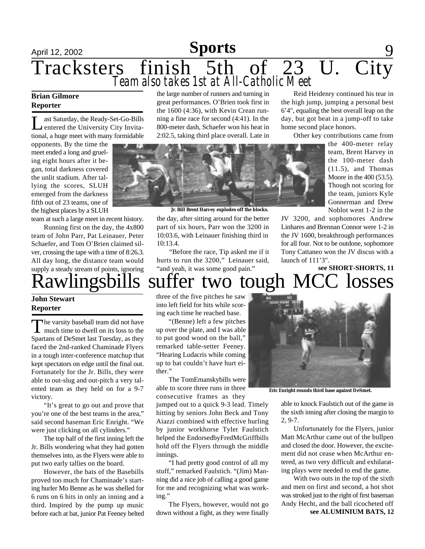# April 12, 2002 **Feature 12, 2002 Feature 12, 2002 Paris 12, 2002 Paris 12, 2003** Tracksters finish 5th of 23 U. City *Team also takes 1st at All-Catholic Meet*

#### **Brian Gilmore Reporter**

L ast Saturday, the Ready-Set-Go-Bills entered the University City Invitational, a huge meet with many formidable

opponents. By the time the meet ended a long and grueling eight hours after it began, total darkness covered the unlit stadium. After tallying the scores, SLUH emerged from the darkness fifth out of 23 teams, one of the highest places by a SLUH

team at such a large meet in recent history.

Running first on the day, the 4x800 team of John Parr, Pat Leinauer, Peter Schaefer, and Tom O'Brien claimed silver, crossing the tape with a time of 8:26.3. All day long, the distance team would supply a steady stream of points, ignoring

### **John Stewart Reporter**

The varsity baseball team did not have<br>much time to dwell on its loss to the he varsity baseball team did not have Spartans of DeSmet last Tuesday, as they faced the 2nd-ranked Chaminade Flyers in a tough inter-conference matchup that kept spectators on edge until the final out. Fortunately for the Jr. Bills, they were able to out-slug and out-pitch a very talented team as they held on for a 9-7 victory.

"It's great to go out and prove that you're one of the best teams in the area," said second baseman Eric Enright. "We were just clicking on all cylinders."

The top half of the first inning left the Jr. Bills wondering what they had gotten themselves into, as the Flyers were able to put two early tallies on the board.

However, the bats of the Basebills proved too much for Chaminade's starting hurler Mo Benne as he was shelled for 6 runs on 6 hits in only an inning and a third. Inspired by the pump up music before each at bat, junior Pat Feeney belted the large number of runners and turning in great performances. O'Brien took first in the 1600 (4:36), with Kevin Crean running a fine race for second (4:41). In the 800-meter dash, Schaefer won his heat in 2:02.5, taking third place overall. Late in



**Jr. Bill Brent Harvey explodes off the blocks.**

the day, after sitting around for the better part of six hours, Parr won the 3200 in 10:03.6, with Leinauer finishing third in 10:13.4.

"Before the race, Tip asked me if it hurts to run the 3200," Leinauer said, "and yeah, it was some good pain."

Reid Heidenry continued his tear in the high jump, jumping a personal best 6'4", equaling the best overall leap on the day, but got beat in a jump-off to take home second place honors.

Other key contributions came from

the 400-meter relay team, Brent Harvey in the 100-meter dash (11.5), and Thomas Moore in the 400 (53.5). Though not scoring for the team, juniors Kyle Gonnerman and Drew Noblot went 1-2 in the

JV 3200, and sophomores Andrew Linhares and Brennan Connor were 1-2 in the JV 1600, breakthrough performances for all four. Not to be outdone, sophomore Tony Cattaneo won the JV discus with a launch of 111'3".

## **see SHORT-SHORTS, 11** lingsbills suffer two tough MCC losses

three of the five pitches he saw into left field for hits while scoring each time he reached base.

"(Benne) left a few pitches up over the plate, and I was able to put good wood on the ball," remarked table-setter Feeney. "Hearing Ludacris while coming up to bat couldn't have hurt either."

The TomEmanskybills were able to score three runs in three consecutive frames as they

jumped out to a quick 9-3 lead. Timely hitting by seniors John Beck and Tony Aiazzi combined with effective hurling by junior workhorse Tyler Faulstich helped the EndorsedbyFredMcGriffbills hold off the Flyers through the middle innings.

"I had pretty good control of all my stuff," remarked Faulstich. "(Jim) Manning did a nice job of calling a good game for me and recognizing what was working."

The Flyers, however, would not go down without a fight, as they were finally



**Eric Enright rounds third base against DeSmet.**

able to knock Faulstich out of the game in the sixth inning after closing the margin to 2, 9-7.

Unfortunately for the Flyers, junior Matt McArthur came out of the bullpen and closed the door. However, the excitement did not cease when McArthur entered, as two very difficult and exhilarating plays were needed to end the game.

With two outs in the top of the sixth and men on first and second, a hot shot was stroked just to the right of first baseman Andy Hecht, and the ball ricocheted off **see ALUMINIUM BATS, 12**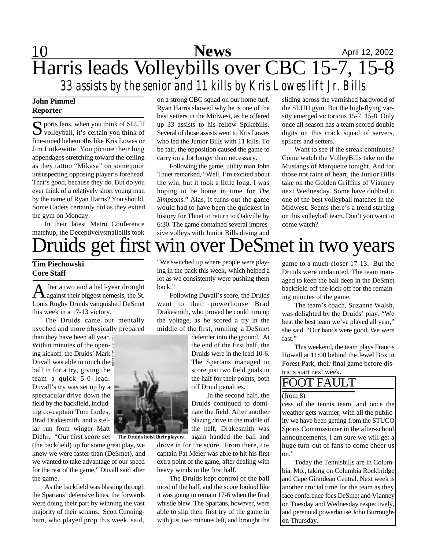# 10 **News** April 12, 2002 Harris leads Volleybills over CBC 15-7, 15-8 *33 assists by the senior and 11 kills by Kris Lowes lift Jr. Bills*

### **John Pimmel Reporter**

S ports fans, when you think of SLUH<br>volleyball, it's certain you think of  $\sum$  volleyball, it's certain you think of fine-tuned behemoths like Kris Lowes or Jim Lutkewitte. You picture their long appendages stretching toward the ceiling as they tattoo "Mikasa" on some poor unsuspecting opposing player's forehead. That's good, because they do. But do you ever think of a relatively short young man by the name of Ryan Harris? You should. Some Cadets certainly did as they exited the gym on Monday.

In their latest Metro Conference matchup, the Deceptivelysmallbills took

on a strong CBC squad on our home turf. Ryan Harris showed why he is one of the best setters in the Midwest, as he offered up 33 assists to his fellow Spikebills. Several of those assists went to Kris Lowes who led the Junior Bills with 11 kills. To be fair, the opposition caused the game to carry on a lot longer than necessary.

Following the game, utility man John Thuet remarked, "Well, I'm excited about the win, but it took a little long. I was hoping to be home in time for *The Simpsons*." Alas, it turns out the game would had to have been the quickest in history for Thuet to return to Oakville by 6:30. The game contained several impressive volleys with Junior Bills diving and sliding across the varnished hardwood of the SLUH gym. But the high-flying varsity emerged victorious 15-7, 15-8. Only once all season has a team scored double digits on this crack squad of servers, spikers and setters.

Want to see if the streak continues? Come watch the VolleyBills take on the Mustangs of Marquette tonight. And for those not faint of heart, the Junior Bills take on the Golden Griffins of Vianney next Wednesday. Some have dubbed it one of the best volleyball matches in the Midwest. Seems there's a trend starting on this volleyball team. Don't you want to come watch?

# Druids get first win over DeSmet in two years

"We switched up where people were playing in the pack this week, which helped a lot as we consistently were pushing them

Following Duvall's score, the Druids went to their powerhouse Brad Drakesmith, who proved he could turn up the voltage, as he scored a try in the middle of the first, running a DeSmet

> defender into the ground. At the end of the first half, the Druids were in the lead 10-6. The Spartans managed to score just two field goals in the half for their points, both

> In the second half, the Druids continued to dominate the field. After another blazing drive in the middle of the half, Drakesmith was again handed the ball and

### **Tim Piechowski Core Staff**

A fter a two and a half-year drought<br>against their biggest nemesis, the St. fter a two and a half-year drought Louis Rugby Druids vanquished DeSmet this week in a 17-13 victory.

The Druids came out mentally psyched and more physically prepared

than they have been all year. Within minutes of the opening kickoff, the Druids' Mark Duvall was able to touch the  $\frac{8}{9}$ ball in for a try, giving the team a quick 5-0 lead. Duvall's try was set up by a spectacular drive down the field by the backfield, including co-captain Tom Lodes, Brad Drakesmith, and a stellar run from winger Matt

(the backfield) up for some great play, we knew we were faster than (DeSmet), and we wanted to take advantage of our speed for the rest of the game," Duvall said after the game.

As the backfield was blasting through the Spartans' defensive lines, the forwards were doing their part by winning the vast majority of their scrums. Scott Cunningham, who played prop this week, said,



back."

Diehr. "Our first score set **The Druids hoist their players.**

drove in for the score. From there, cocaptain Pat Meier was able to hit his first extra point of the game, after dealing with heavy winds in the first half.

off Druid penalties.

The Druids kept control of the ball most of the half, and the score looked like it was going to remain 17-6 when the final whistle blew. The Spartans, however, were able to slip their first try of the game in with just two minutes left, and brought the game to a much closer 17-13. But the Druids were undaunted. The team managed to keep the ball deep in the DeSmet backfield off the kick off for the remaining minutes of the game.

The team's coach, Suzanne Walsh, was delighted by the Druids' play. "We beat the best team we've played all year," she said. "Our hands were good. We were fast."

This weekend, the team plays Francis Howell at 11:00 behind the Jewel Box in Forest Park, their final game before districts start next week.

## FOOT FAULT

#### (from 8)

cess of the tennis team, and once the weather gets warmer, with all the publicity we have been getting from the STUCO Sports Commissioner in the after-school announcements, I am sure we will get a huge turn-out of fans to come cheer us on."

Today the Tennisbills are in Columbia, Mo., taking on Columbia Rockbridge and Cape Girardeau Central. Next week is another crucial time for the team as they face conference foes DeSmet and Vianney on Tuesday and Wednesday respectively, and perennial powerhouse John Burroughs on Thursday.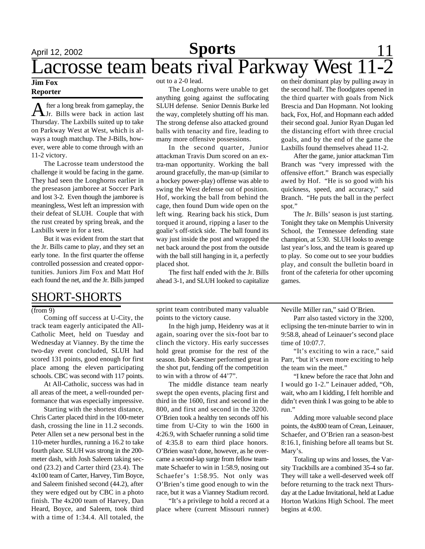#### **Jim Fox Reporter**

A fter a long break from gameplay, the<br>
Jr. Bills were back in action last fter a long break from gameplay, the Thursday. The Laxbills suited up to take on Parkway West at West, which is always a tough matchup. The J-Bills, however, were able to come through with an 11-2 victory.

The Lacrosse team understood the challenge it would be facing in the game. They had seen the Longhorns earlier in the preseason jamboree at Soccer Park and lost 3-2. Even though the jamboree is meaningless, West left an impression with their defeat of SLUH. Couple that with the rust created by spring break, and the Laxbills were in for a test.

But it was evident from the start that the Jr. Bills came to play, and they set an early tone. In the first quarter the offense controlled possession and created opportunities. Juniors Jim Fox and Matt Hof each found the net, and the Jr. Bills jumped

### SHORT-SHORTS

#### (from 9)

Coming off success at U-City, the track team eagerly anticipated the All-Catholic Meet, held on Tuesday and Wednesday at Vianney. By the time the two-day event concluded, SLUH had scored 131 points, good enough for first place among the eleven participating schools. CBC was second with 117 points.

At All-Catholic, success was had in all areas of the meet, a well-rounded performance that was especially impressive.

Starting with the shortest distance, Chris Carter placed third in the 100-meter dash, crossing the line in 11.2 seconds. Peter Allen set a new personal best in the 110-meter hurdles, running a 16.2 to take fourth place. SLUH was strong in the 200 meter dash, with Josh Saleem taking second (23.2) and Carter third (23.4). The 4x100 team of Carter, Harvey, Tim Boyce, and Saleem finished second (44.2), after they were edged out by CBC in a photo finish. The 4x200 team of Harvey, Dan Heard, Boyce, and Saleem, took third with a time of 1:34.4. All totaled, the

out to a 2-0 lead.

The Longhorns were unable to get anything going against the suffocating SLUH defense. Senior Dennis Burke led the way, completely shutting off his man. The strong defense also attacked ground balls with tenacity and fire, leading to many more offensive possessions.

In the second quarter, Junior attackman Travis Dum scored on an extra-man opportunity. Working the ball around gracefully, the man-up (similar to a hockey power-play) offense was able to swing the West defense out of position. Hof, working the ball from behind the cage, then found Dum wide open on the left wing. Rearing back his stick, Dum torqued it around, ripping a laser to the goalie's off-stick side. The ball found its way just inside the post and wrapped the net back around the post from the outside with the ball still hanging in it, a perfectly placed shot.

The first half ended with the Jr. Bills ahead 3-1, and SLUH looked to capitalize on their dominant play by pulling away in the second half. The floodgates opened in the third quarter with goals from Nick Brescia and Dan Hopmann. Not looking back, Fox, Hof, and Hopmann each added their second goal. Junior Ryan Dugan led the distancing effort with three crucial goals, and by the end of the game the Laxbills found themselves ahead 11-2.

After the game, junior attackman Tim Branch was "very impressed with the offensive effort." Branch was especially awed by Hof. "He is so good with his quickness, speed, and accuracy," said Branch. "He puts the ball in the perfect spot."

The Jr. Bills' season is just starting. Tonight they take on Memphis University School, the Tennessee defending state champion, at 5:30. SLUH looks to avenge last year's loss, and the team is geared up to play. So come out to see your buddies play, and consult the bulletin board in front of the cafeteria for other upcoming games.

sprint team contributed many valuable points to the victory cause.

In the high jump, Heidenry was at it again, soaring over the six-foot bar to clinch the victory. His early successes hold great promise for the rest of the season. Bob Kaestner performed great in the shot put, fending off the competition to win with a throw of 44'7".

The middle distance team nearly swept the open events, placing first and third in the 1600, first and second in the 800, and first and second in the 3200. O'Brien took a healthy ten seconds off his time from U-City to win the 1600 in 4:26.9, with Schaefer running a solid time of 4:35.8 to earn third place honors. O'Brien wasn't done, however, as he overcame a second-lap surge from fellow teammate Schaefer to win in 1:58.9, nosing out Schaefer's 1:58.95. Not only was O'Brien's time good enough to win the race, but it was a Vianney Stadium record.

"It's a privilege to hold a record at a place where (current Missouri runner)

Neville Miller ran," said O'Brien.

Parr also tasted victory in the 3200, eclipsing the ten-minute barrier to win in 9:58.8, ahead of Leinauer's second place time of 10:07.7.

"It's exciting to win a race," said Parr, "but it's even more exciting to help the team win the meet."

"I knew before the race that John and I would go 1-2." Leinauer added, "Oh, wait, who am I kidding, I felt horrible and didn't even think I was going to be able to run."

Adding more valuable second place points, the 4x800 team of Crean, Leinauer, Schaefer, and O'Brien ran a season-best 8:16.1, finishing before all teams but St. Mary's.

Totaling up wins and losses, the Varsity Trackbills are a combined 35-4 so far. They will take a well-deserved week off before returning to the track next Thursday at the Ladue Invitational, held at Ladue Horton Watkins High School. The meet begins at 4:00.